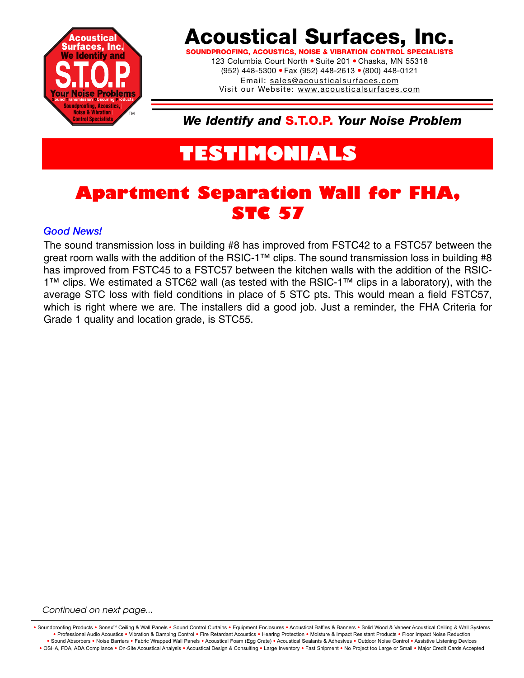

## **Acoustical Surfaces, Inc.**

**SOUNDPROOFING, ACOUSTICS, NOISE & VIBRATION CONTROL SPE** 123 Columbia Court North · Suite 201 · Chaska, MN 55318 (952) 448-5300 ● Fax (952) 448-2613 ● (800) 448-0121 Email: sales@acousticalsurfaces.com Visit our Website: www.acousticalsurfaces.com

*We Identify and* **S.T.O.P.** *Your Noise Problem*

# **TESTIMONIALS**

### **Apartment Separation Wall for FHA, STC 57**

#### *Good News!*

The sound transmission loss in building #8 has improved from FSTC42 to a FSTC57 between the great room walls with the addition of the RSIC-1™ clips. The sound transmission loss in building #8 has improved from FSTC45 to a FSTC57 between the kitchen walls with the addition of the RSIC-1™ clips. We estimated a STC62 wall (as tested with the RSIC-1™ clips in a laboratory), with the average STC loss with field conditions in place of 5 STC pts. This would mean a field FSTC57, which is right where we are. The installers did a good job. Just a reminder, the FHA Criteria for Grade 1 quality and location grade, is STC55.

#### *Continued on next page...*

Soundproofing Products • Sonex<sup>™</sup> Ceiling & Wall Panels • Sound Control Curtains • Equipment Enclosures • Acoustical Baffles & Banners • Solid Wood & Veneer Acoustical Ceiling & Wall Systems **•** Professional Audio Acoustics **•** Vibration & Damping Control **•** Fire Retardant Acoustics **•** Hearing Protection **•** Moisture & Impact Resistant Products **•** Floor Impact Noise Reduction Sound Absorbers . Noise Barriers . Fabric Wrapped Wall Panels . Acoustical Foam (Egg Crate) . Acoustical Sealants & Adhesives . Outdoor Noise Control . Assistive Listening Devices . OSHA, FDA, ADA Compliance . On-Site Acoustical Analysis . Acoustical Design & Consulting . Large Inventory . Fast Shipment . No Project too Large or Small . Major Credit Cards Accepted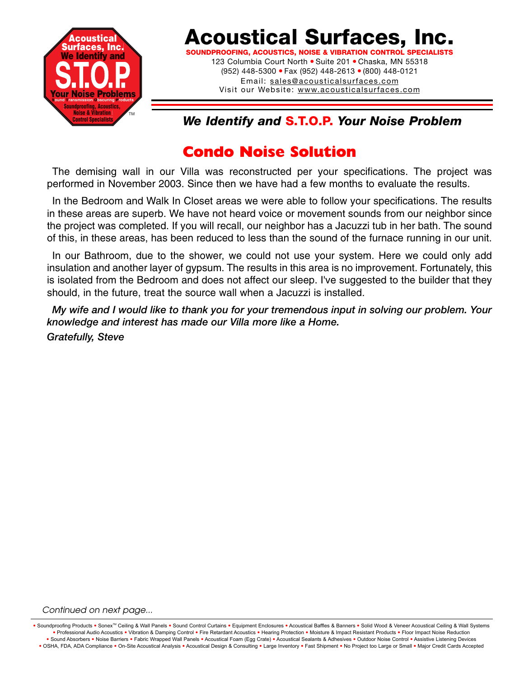

## **Acoustical Surfaces, Inc.**

**SOUNDPROOFING, ACOUSTICS, NOISE & VIBRATION CONTROL SPECIALISTS** 123 Columbia Court North . Suite 201 . Chaska, MN 55318 (952) 448-5300 ● Fax (952) 448-2613 ● (800) 448-0121 Email: sales@acousticalsurfaces.com Visit our Website: www.acousticalsurfaces.com

### *We Identify and* **S.T.O.P.** *Your Noise Problem*

### **Condo Noise Solution**

The demising wall in our Villa was reconstructed per your specifications. The project was performed in November 2003. Since then we have had a few months to evaluate the results.

In the Bedroom and Walk In Closet areas we were able to follow your specifications. The results in these areas are superb. We have not heard voice or movement sounds from our neighbor since the project was completed. If you will recall, our neighbor has a Jacuzzi tub in her bath. The sound of this, in these areas, has been reduced to less than the sound of the furnace running in our unit.

In our Bathroom, due to the shower, we could not use your system. Here we could only add insulation and another layer of gypsum. The results in this area is no improvement. Fortunately, this is isolated from the Bedroom and does not affect our sleep. I've suggested to the builder that they should, in the future, treat the source wall when a Jacuzzi is installed.

*My wife and I would like to thank you for your tremendous input in solving our problem. Your knowledge and interest has made our Villa more like a Home.*

*Gratefully, Steve* 

#### *Continued on next page...*

Soundproofing Products . Sonex<sup>TM</sup> Ceiling & Wall Panels . Sound Control Curtains . Equipment Enclosures . Acoustical Baffles & Banners . Solid Wood & Veneer Acoustical Ceiling & Wall Systems **•** Professional Audio Acoustics **•** Vibration & Damping Control **•** Fire Retardant Acoustics **•** Hearing Protection **•** Moisture & Impact Resistant Products **•** Floor Impact Noise Reduction . Sound Absorbers . Noise Barriers . Fabric Wrapped Wall Panels . Acoustical Foam (Egg Crate) . Acoustical Sealants & Adhesives . Outdoor Noise Control . Assistive Listening Devices . OSHA, FDA, ADA Compliance . On-Site Acoustical Analysis . Acoustical Design & Consulting . Large Inventory . Fast Shipment . No Project too Large or Small . Major Credit Cards Accepted